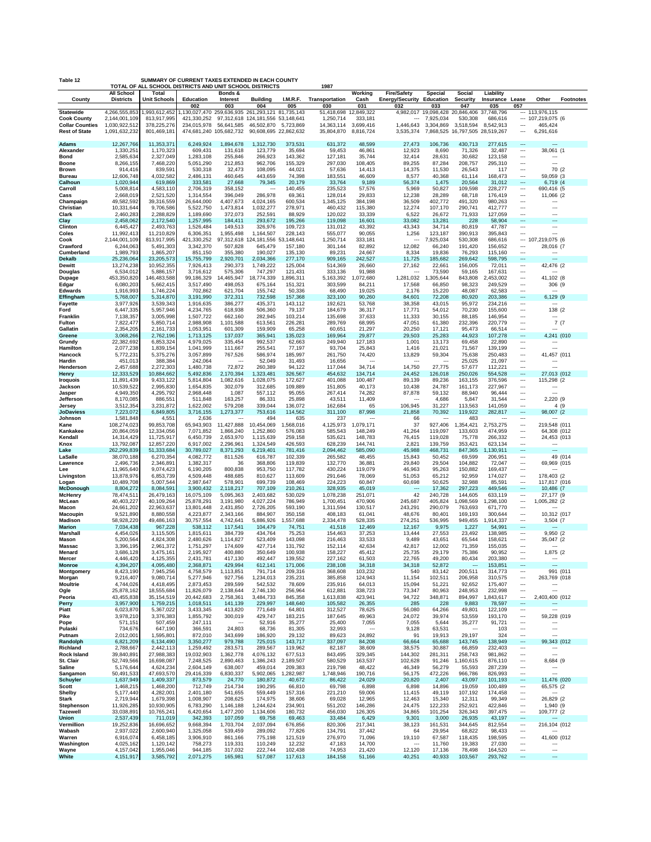| SUMMARY OF CURRENT TAXES EXTENDED IN EACH COUNTY<br>Table 12<br>TOTAL OF ALL SCHOOL DISTRICTS AND UNIT SCHOOL DISTRICTS<br>1987 |                                                 |                                           |                                                                                         |                                     |                                               |                       |                                       |                                    |                                    |                                            |                                               |                        |                                                      |                                            |                  |
|---------------------------------------------------------------------------------------------------------------------------------|-------------------------------------------------|-------------------------------------------|-----------------------------------------------------------------------------------------|-------------------------------------|-----------------------------------------------|-----------------------|---------------------------------------|------------------------------------|------------------------------------|--------------------------------------------|-----------------------------------------------|------------------------|------------------------------------------------------|--------------------------------------------|------------------|
|                                                                                                                                 | All School                                      | Total                                     |                                                                                         | Bonds &                             |                                               |                       |                                       | Working                            | <b>Fire/Safety</b>                 | Special                                    | Social                                        | Liability              |                                                      |                                            |                  |
| County                                                                                                                          | <b>Districts</b>                                | <b>Unit Schools</b>                       | Education<br>002                                                                        | Interest<br>003                     | <b>Building</b><br>004                        | I.M.R.F.<br>005       | Transportation<br>030                 | Cash<br>031                        | Energy/Security Education<br>032   | 033                                        | Security<br>047                               | Insurance Lease<br>035 | 057                                                  | Other                                      | <b>Footnotes</b> |
| Statewide                                                                                                                       | 4,266,555,853                                   | 1,993,612,452                             | 1,130,027,470 259,636,935 261,293,121 81,735,143                                        |                                     |                                               |                       | 51,418,698 12,849,322                 |                                    | $\overline{\phantom{a}}$           | 4,982,017 19,098,428 20,846,406 37,748,796 |                                               |                        |                                                      | $-113,976,115$                             |                  |
| <b>Cook County</b><br><b>Collar Counties</b><br><b>Rest of State</b>                                                            | 2,144,001,109<br>1,030,922,512<br>1,091,632,232 | 813,917,995<br>378,225,276<br>801,469,181 | 421,330,252 97,312,618 124,181,556 53,148,641<br>234,015,978<br>474,681,240 105,682,732 | 56,641,585                          | 46,502,870 5,723,869<br>90,608,695 22,862,632 |                       | 1,250,714<br>14,363,114<br>35,804,870 | 333,181<br>3,699,416<br>8,816,724  | 1,446,643<br>3,535,374             | 7,925,034<br>3,304,869<br>7,868,525        | 530,308<br>3,518,594<br>16,797,505 28,519,267 | 686,616<br>8,542,913   | <br>---                                              | --- 107,219,075 (6<br>465,424<br>6,291,616 |                  |
| Adams<br>Alexander                                                                                                              | 12,267,766<br>1,330,251                         | 11,353,371<br>1,170,323                   | 6,249,924<br>609,431                                                                    | 1,894,678<br>131,618                | 1,312,730<br>123,779                          | 373,531<br>35,694     | 631,372<br>59,453                     | 48,599<br>46,861                   | 27,473<br>12,923                   | 106,736<br>8,690                           | 430,713<br>71,326                             | 277,615<br>32,487      | $\overline{\phantom{a}}$<br>$\overline{\phantom{a}}$ | $\overline{a}$<br>38,061 (1                |                  |
| Bond                                                                                                                            | 2,585,634                                       | 2,327,049                                 | 1,283,108                                                                               | 255,846                             | 266,923                                       | 143,362               | 127,181                               | 35,744                             | 32,414                             | 28,631                                     | 30,682                                        | 123,158                | $\overline{\phantom{a}}$                             |                                            |                  |
| Boone<br>Brown                                                                                                                  | 8,266,155<br>914,416                            | 7,468,220<br>839,591                      | 5,051,290<br>530,318                                                                    | 212,853<br>32,473                   | 962,706<br>108,095                            | 155,329<br>44,021     | 297,030<br>57,636                     | 108,405<br>14,413                  | 89,255<br>14,375                   | 87,284<br>11,530                           | 208,757<br>26,543                             | 295,310<br>117         | $\overline{\phantom{a}}$<br>                         | $\overline{a}$<br>70 (2                    |                  |
| Bureau                                                                                                                          | 12,606,748                                      | 4,032,582                                 | 2,486,131                                                                               | 460,645                             | 443,659                                       | 74,398                | 183,551                               | 46,609                             | 8,577                              | 40,368                                     | 61,114                                        | 168,473                | $\overline{\phantom{a}}$                             | 59,059 (3                                  |                  |
| Calhoun<br>Carroll                                                                                                              | 1,020,944<br>5,008,814                          | 619,869<br>4,583,110                      | 333,581<br>2,706,319                                                                    | 27,668<br>358,152                   | 79,345<br>$\cdots$                            | 20,179<br>140,455     | 33,764<br>235,523                     | 9,189<br>57,576                    | 56,374<br>5,969                    | 1,475<br>50,827                            | 20,564<br>109,598                             | 31,012<br>228,277      | $\overline{\phantom{a}}$<br>$\overline{\phantom{a}}$ | 6,719 (4<br>690,416 (5                     |                  |
| Cass                                                                                                                            | 2,668,019                                       | 2,521,520                                 | 1,314,554                                                                               | 396,049                             | 286,978                                       | 69,361                | 128,014                               | 29,833                             | 12,238                             | 28,289                                     | 68,718                                        | 176,419                | $\overline{\phantom{a}}$                             | 11,066 (2                                  |                  |
| Champaign<br>Christian                                                                                                          | 49,582,592<br>10,331,644                        | 39,316,559<br>9,706,586                   | 26,644,000<br>5,522,750                                                                 | 4,407,673<br>1,473,814              | 4,024,165<br>1,032,277                        | 600,534<br>278,971    | 1,345,125<br>460,432                  | 384,198<br>115,380                 | 36,509<br>12,274                   | 402,772<br>107,170                         | 491,320<br>290,741                            | 980,263<br>412,777     | $\overline{\phantom{a}}$<br>                         | ---                                        |                  |
| Clark                                                                                                                           | 2,460,283                                       | 2,288,829                                 | 1,189,690                                                                               | 372,073                             | 252,591                                       | 88,929                | 120,022                               | 33,339                             | 6,522                              | 26,672                                     | 71,933                                        | 127,059                | $\overline{\phantom{a}}$                             | ---                                        |                  |
| Clay<br>Clinton                                                                                                                 | 2,458,062<br>6,445,427                          | 2,172,540<br>2,493,763                    | 1,257,995<br>1,526,484                                                                  | 184,411<br>149,513                  | 293,672<br>326,976                            | 195,266<br>109,723    | 119,098<br>131,012                    | 16,601<br>43,392                   | 33,082<br>43,343                   | 13,281<br>34,714                           | 228<br>80,819                                 | 58,904<br>47,787       | $\overline{a}$<br>$\overline{\phantom{a}}$           | $\overline{a}$<br>---                      |                  |
| Coles                                                                                                                           | 11,992,413                                      | 11,210,829                                | 6,306,351                                                                               | 1,955,498                           | 1,164,507                                     | 228,143               | 555,077                               | 90,055                             | 1,256                              | 123,187                                    | 390,913                                       | 395,843                | $\overline{a}$                                       | ---                                        |                  |
| Cook<br>Crawford                                                                                                                | 2,144,001,109<br>6,244,063                      | 813,917,995<br>5,491,303                  | 421,330,252<br>3,342,370                                                                | 507,828                             | 97,312,618 124,181,556<br>645,479             | 53,148,641<br>157,180 | 1,250,714<br>301,144                  | 333,181<br>82,892                  | ---<br>12,082                      | 7,925,034<br>66,240                        | 530,308<br>191,420                            | 686,616<br>156,652     | $\overline{\phantom{a}}$                             | $- 107,219,075$ (6<br>28,016 (7            |                  |
| Cumberland                                                                                                                      | 1,989,793                                       | 1,865,207                                 | 851,150                                                                                 | 355,380                             | 190,027                                       | 135,130               | 89,231                                | 24,667                             | 8,334                              | 19,836                                     | 76,293                                        | 115,160                | $\overline{\phantom{a}}$                             | ---                                        |                  |
| <b>Dekalb</b><br>Dewitt                                                                                                         | 25,236,064<br>13,274,238                        | 23,205,573<br>10,952,355                  | 15,755,799<br>7,926,413                                                                 | 2,920,701<br>290,373                | 2,034,366<br>1,749,222                        | 277,170<br>125,004    | 909,165<br>514,369                    | 242,527<br>26,660                  | 11,725<br>27,162                   | 185,682<br>22,661                          | 269,642<br>156,005                            | 598,795<br>72,011      | $\overline{\phantom{a}}$<br>                         | $\overline{a}$<br>42,476 (2                |                  |
| Douglas                                                                                                                         | 6,534,012                                       | 5,886,157                                 | 3,716,612                                                                               | 575,306                             | 747,297                                       | 121,431               | 333,136                               | 91,988                             | $\overline{\phantom{a}}$           | 73,590                                     | 59,165                                        | 167,631                | $\overline{\phantom{a}}$                             | ---                                        |                  |
| Dupage<br>Edgar                                                                                                                 | 453,350,820<br>6,080,203                        | 146,483,588<br>5,662,415                  | 99,186,329<br>3,517,490                                                                 | 14,465,947<br>498,053               | 18,774,339<br>675,164                         | 1,896,311<br>151,321  | 5,163,392<br>303,599                  | 1,072,680<br>84,211                | 1,281,032<br>17,568                | 1,305,644<br>66,850                        | 843,808<br>98,323                             | 2,453,002<br>249,529   | $\overline{\phantom{a}}$<br>$\overline{\phantom{a}}$ | 41,102 (8<br>306 (9                        |                  |
| Edwards                                                                                                                         | 1,916,993                                       | 1,746,224                                 | 702,862                                                                                 | 621,704                             | 155,742                                       | 50,336                | 68,490                                | 19,025                             | 2,176                              | 15,220                                     | 48,087                                        | 62,583                 | $\overline{\phantom{a}}$                             | $\overline{a}$                             |                  |
| Effingham<br>Fayette                                                                                                            | 5,768,007<br>3,977,926                          | 5,314,870<br>3,539,343                    | 3,191,990<br>1,916,635                                                                  | 372,311<br>386,277                  | 732,598<br>435,371                            | 157,368<br>143,112    | 323,100<br>192,621                    | 90,260<br>53,768                   | 84,601<br>38,358                   | 72,208<br>43,015                           | 80,920<br>95,972                              | 203,386<br>234,216     | $\overline{\phantom{a}}$<br>                         | 6,129 (9                                   |                  |
| Ford                                                                                                                            | 6,447,335                                       | 5,957,946                                 | 4,234,765                                                                               | 618,938                             | 506,360                                       | 79,137                | 184,679                               | 36,317                             | 17,771                             | 54,012                                     | 70,230                                        | 155,600                | $\overline{\phantom{a}}$                             | 138 (2                                     |                  |
| Franklin<br>Fulton                                                                                                              | 7,138,357<br>7,822,477                          | 3,005,998<br>5,850,714                    | 1,507,722<br>2,988,908                                                                  | 662,160<br>1,101,588                | 282,945<br>613,561                            | 103,214<br>226,281    | 135,698<br>289,769                    | 37,633<br>68,995                   | 11,333<br>47,051                   | 30,155<br>61,380                           | 88,185<br>232,396                             | 146,954<br>220,779     | <br>$\overline{\phantom{a}}$                         | ---<br>7(7)                                |                  |
| Gallatin                                                                                                                        | 2,354,205                                       | 2,161,733                                 | 1,053,951                                                                               | 601,309                             | 159,909                                       | 65,258                | 60,651                                | 21,297                             | 20,250                             | 17,121                                     | 95,473                                        | 66,514                 | $\overline{\phantom{a}}$                             | ---                                        |                  |
| Greene<br>Grundy                                                                                                                | 3,068,266<br>22,382,692                         | 2,762,196<br>6,853,324                    | 1,713,125<br>4,979,025                                                                  | 137,037<br>335,454                  | 365,941<br>992,537                            | 135,023<br>62,663     | 169,964<br>249,940                    | 29,877<br>127,183                  | 29,503<br>1,001                    | 25,283<br>13,173                           | 44,923<br>69,458                              | 107,278<br>22,890      | $\overline{\phantom{a}}$<br>                         | 4,241 (010                                 |                  |
| Hamilton                                                                                                                        | 2,077,238                                       | 1,839,154                                 | 1,041,999                                                                               | 111,667                             | 255,541                                       | 77,197                | 93,704                                | 25,843                             | 1,416                              | 21,021                                     | 71,567                                        | 139,199                | $\overline{\phantom{a}}$                             | ---                                        |                  |
| Hancock<br>Hardin                                                                                                               | 5,772,231<br>451,013                            | 5,375,276<br>388,384                      | 3,057,899<br>242,064                                                                    | 767,526<br>$\overline{\phantom{a}}$ | 586,974<br>52,049                             | 185,997<br>31,493     | 261,750<br>16,656                     | 74,420<br>$\overline{\phantom{a}}$ | 13,829<br>$\overline{\phantom{a}}$ | 59,304<br>---                              | 75,638<br>25,025                              | 250,483<br>21,097      | <br>$\overline{\phantom{a}}$                         | 41,457 (011                                |                  |
| Henderson                                                                                                                       | 2,457,688                                       | 2,272,303                                 | 1,480,738                                                                               | 72,872                              | 260,389                                       | 94,122                | 117,044                               | 34,714                             | 14,750                             | 27,775                                     | 57,677                                        | 112,221                | $\overline{\phantom{a}}$                             | ---                                        |                  |
| Henry<br><b>Iroquois</b>                                                                                                        | 12,333,529<br>11,891,439                        | 10,884,662<br>9,433,122                   | 5,492,836<br>5,814,804                                                                  | 2,170,394<br>1,082,616              | 1,323,481<br>1,028,075                        | 326,567<br>172,627    | 454,632<br>401,088                    | 134,714<br>100,487                 | 24,452<br>89,139                   | 126,018<br>89,236                          | 250,026<br>163,155                            | 554,528<br>376,596     | $\overline{\phantom{a}}$<br>                         | 27,013 (012<br>115,298 (2                  |                  |
| Jackson                                                                                                                         | 10,539,522                                      | 2,995,830                                 | 1,654,835                                                                               | 302,079                             | 312,685                                       | 109,889               | 151,805                               | 40,173                             | 10,438                             | 24,787                                     | 161,173                                       | 227,967                |                                                      | ---<br>---                                 |                  |
| Jasper<br>Jefferson                                                                                                             | 4,949,350<br>8,170,085                          | 4,295,792<br>886,551                      | 2,968,448<br>511,848                                                                    | 1,087<br>163,257                    | 557,112<br>86,331                             | 95,055<br>25,898      | 267,414<br>43,511                     | 74,282<br>11,409                   | 87,878<br>---                      | 59,132<br>4,686                            | 88,940<br>5,847                               | 96,444<br>31,544       | <br>$\overline{\phantom{a}}$                         | 2,220 (9                                   |                  |
| Jersey                                                                                                                          | 3,512,354                                       | 3,231,872                                 | 1,622,002                                                                               | 579,208                             | 339,044                                       | 136,072               | 162,684                               | 65                                 | 106,945                            | 31,227                                     | 113,563                                       | 141,059                | $\overline{\phantom{a}}$<br>$\overline{\phantom{a}}$ | 4 (9                                       |                  |
| <b>JoDaviess</b><br>Johnson                                                                                                     | 7,223,072<br>1,581,848                          | 6,849,805<br>4,551                        | 3,716,155<br>2,636                                                                      | 1,273,377<br>---                    | 753,616<br>494                                | 114,562<br>635        | 311,100<br>237                        | 87,998<br>$\overline{\phantom{a}}$ | 21,858<br>66                       | 70,392<br>---                              | 119,922<br>483                                | 282,817<br>---         |                                                      | 98,007 (2                                  |                  |
| Kane                                                                                                                            | 108,274,023                                     | 99,853,708                                | 65,943,903                                                                              | 11,427,888<br>1,866,240             | 10,454,069<br>1,252,860                       | 1,568,016             | 4,125,973                             | 1,079,171                          | 37                                 | 927,406                                    | 1,354,421<br>133,603                          | 2,753,275              | <br>                                                 | 219,548 (011                               |                  |
| Kankakee<br>Kendall                                                                                                             | 20,864,059<br>14,314,429                        | 12,334,056<br>11,725,917                  | 7,071,852<br>6,450,739                                                                  | 2,653,970                           | 1,115,639                                     | 576,083<br>259,158    | 585,543<br>535,621                    | 148,249<br>148,783                 | 41,264<br>76,415                   | 119,097<br>119,028                         | 75,778                                        | 474,959<br>266,332     | $\overline{\phantom{a}}$                             | 64,308 (012<br>24,453 (013                 |                  |
| Knox<br>Lake                                                                                                                    | 13,792,087<br>262,299,839                       | 12,857,220<br>51,333,684                  | 6,917,002<br>30,789,027                                                                 | 2,296,961<br>8,371,293              | 1,324,549<br>6,219,401                        | 426,593<br>781,416    | 628,239<br>2,094,462                  | 144,741<br>585,090                 | 2,821<br>45,988                    | 139,759<br>468,731                         | 353,421<br>847,365                            | 623,134<br>1,130,911   | $\overline{\phantom{a}}$<br>$\overline{\phantom{a}}$ | ---<br>$\overline{a}$                      |                  |
| LaSalle                                                                                                                         | 38,070,188                                      | 6,270,354                                 | 4,082,772                                                                               | 811,526                             | 616,787                                       | 102,339               | 265,582                               | 48,455                             | 15,843                             | 50,452                                     | 69,599                                        | 206,951                | $\overline{\phantom{a}}$                             |                                            | 49 (014          |
| Lawrence<br>Lee                                                                                                                 | 2,496,736<br>11,965,640                         | 2,346,891<br>9,074,423                    | 1,382,317<br>6,190,205                                                                  | 36<br>800,838                       | 368,806<br>953,750                            | 119,839<br>117,782    | 132,770<br>430,224                    | 36,881<br>119,079                  | 29,840<br>46,963                   | 29,504<br>95,263                           | 104,882<br>150,882                            | 72,047<br>169,437      | <br>$\overline{\phantom{a}}$                         | 69,969 (015                                |                  |
| Livingston                                                                                                                      | 13,878,976                                      | 6,853,739                                 | 4,509,448                                                                               | 488,685                             | 810,627                                       | 113,609               | 291,646                               | 78,069                             | 51,053                             | 65,212                                     | 92,959                                        | 174,027                | $\overline{\phantom{a}}$                             | 178,403 (2                                 |                  |
| Logan<br><b>McDonough</b>                                                                                                       | 10,489,708<br>8,804,272                         | 5,007,544<br>8,084,591                    | 2,987,647<br>3,900,432                                                                  | 578,901<br>2,118,217                | 699,739<br>707,109                            | 108,469<br>210,261    | 224,223<br>328,935                    | 60,847<br>45,019                   | 60,698                             | 50,625<br>17,362                           | 32,988<br>297,223                             | 85,591<br>449,546      | <br>$\overline{\phantom{a}}$                         | 117,817 (016<br>10,486 (7                  |                  |
| McHenry                                                                                                                         | 78,474,511                                      | 26,479,163                                | 16,075,109                                                                              | 5,095,363                           | 2,403,682                                     | 530,029               | 1,078,238                             | 251,071                            | 42                                 | 240,728                                    | 144,605                                       | 633,119                | $\overline{\phantom{a}}$                             | 27,177 (9                                  |                  |
| McLean<br>Macon                                                                                                                 | 40,403,227<br>24,661,202                        | 40,109,264<br>22,963,637                  | 25,878,291<br>13,801,448                                                                | 3,191,980<br>2,431,850              | 4,027,224<br>2,726,205                        | 786,949<br>593,190    | 1,700,451<br>1,311,594                | 470,906<br>130,517                 | 245,687<br>243,291                 | 405,824<br>290,079                         | 1,098,569<br>763,693                          | 1,298,100<br>671,770   | ---<br>$\overline{\phantom{a}}$                      | 1,005,282 (2                               |                  |
| Macoupin                                                                                                                        | 9,521,890                                       | 8,880,558                                 | 4,223,877                                                                               | 2,343,166                           | 884,907                                       | 350,158               | 408,183                               | 61,041                             | 48,676                             | 80,401                                     | 169,193                                       | 300,644                | $\overline{\phantom{a}}$                             | 10,312 (017                                |                  |
| Madison<br><b>Marion</b>                                                                                                        | 58,928,220<br>7,034,438                         | 49,486,163<br>967,228                     | 30,757,554<br>538,112                                                                   | 4,742,641<br>117,541                | 5,886,926<br>104,479                          | 1,557,688<br>74,751   | 2,334,478<br>41,518                   | 528,335<br>12,469                  | 274,251<br>12,167                  | 536,995<br>9,975                           | 949,455<br>1,227                              | 1,914,337<br>54,991    | $\overline{\phantom{a}}$<br>$\overline{\phantom{a}}$ | 3,504 (7                                   |                  |
| Marshall                                                                                                                        | 4,454,026                                       | 3,115,505                                 | 1,815,611                                                                               | 384,739                             | 434,764                                       | 75,253                | 154,463                               | 37,253                             | 13,444                             | 27,553                                     | 23,492                                        | 138,985                | $\overline{\phantom{a}}$                             | 9,950 (2                                   |                  |
| Mason<br>Massac                                                                                                                 | 5,200,564<br>3,396,195                          | 4,824,308<br>2,961,372                    | 2,480,626<br>1,751,297                                                                  | 1,114,827<br>174,609                | 523,409<br>427,714                            | 143,098<br>131,792    | 216,463<br>152,114                    | 33,533<br>42,634                   | 9,489<br>42,817                    | 43,651<br>12,002                           | 65,544<br>71,359                              | 158,621<br>155,035     | ---<br>$\overline{\phantom{a}}$                      | 35,047 (2                                  |                  |
| Menard<br>Mercer                                                                                                                | 3,686,128<br>4,446,420                          | 3,475,161<br>4,125,355                    | 2,195,927                                                                               | 400,880<br>417,130                  | 350,649<br>492,447                            | 100,938<br>139,552    | 158,227<br>227,162                    | 45,412<br>61,503                   | 25,735<br>22,765                   | 29,179<br>49,200                           | 75,386<br>80,434                              | 90,952                 | ---<br>$\overline{\phantom{a}}$                      | 1,875 (2<br>---                            |                  |
| <b>Monroe</b>                                                                                                                   | 4,394,207                                       | 4,095,480                                 | 2,431,781<br>2,368,871                                                                  | 429,994                             | 612,141                                       | 171,006               | 238,108                               | 34,318                             | 34,318                             | 52,872                                     | $\overline{\phantom{a}}$                      | 203,380<br>153,851     | $\overline{\phantom{a}}$                             | $\overline{a}$                             |                  |
| Montgomery<br>Morgan                                                                                                            | 8,423,190<br>9,216,407                          | 7,945,256<br>9,080,714                    | 4,758,579<br>5,277,946                                                                  | 1,113,851<br>927,756                | 791,714<br>1,234,013                          | 209,316<br>235,231    | 368,608<br>385,858                    | 103,232<br>124,943                 | 540<br>11,154                      | 83,142<br>102,511                          | 200,511<br>206,958                            | 314,773<br>310,575     | $\cdots$<br>$\overline{\phantom{a}}$                 | 991 (011<br>263,769 (018                   |                  |
| Moultrie                                                                                                                        | 4,744,026                                       | 4,418,495                                 | 2,873,453                                                                               | 289,599                             | 542,532                                       | 78,609                | 235,916                               | 64,013                             | 15,094                             | 51,221                                     | 92,652                                        | 175,407                | $\overline{\phantom{a}}$                             | ---                                        |                  |
| Ogle<br>Peoria                                                                                                                  | 25,878,162<br>43,455,838                        | 18,555,684<br>35, 154, 519                | 11,826,079<br>20,442,683                                                                | 2,138,644<br>2,758,361              | 2,746,130<br>3,484,733                        | 256,964<br>845,358    | 612,881<br>1,613,838                  | 338,723<br>423,941                 | 73,347<br>94,722                   | 80,963<br>348,871                          | 248,953<br>894,997                            | 232,998<br>1,843,617   | $\overline{\phantom{a}}$<br>                         | ---<br>2,403,400 (012                      |                  |
| Perry                                                                                                                           | 3,957,900                                       | 1,759,215                                 | 1,018,511                                                                               | 141,139                             | 229,997                                       | 148,640               | 105,582                               | 26,355                             | 285                                | 228                                        | 9,883                                         | 78,597                 | $\overline{\phantom{a}}$                             | ---                                        |                  |
| Piatt<br>Pike                                                                                                                   | 6,023,870<br>3,978,210                          | 5,367,022<br>3,376,383                    | 3,433,345<br>1,855,792                                                                  | 413,820<br>300,019                  | 771,649<br>429,747                            | 64,801<br>183,215     | 312,527<br>187,645                    | 78,625<br>49,963                   | 56,080<br>24,072                   | 64,266<br>39,974                           | 49,801<br>53,559                              | 122,109<br>193,170     | $\cdots$<br>$\overline{\phantom{a}}$                 | ---<br>59,228 (019                         |                  |
| Pope                                                                                                                            | 571,151                                         | 507,459                                   | 247,111                                                                                 | $\overline{\phantom{a}}$            | 52,916                                        | 35,277                | 25,400                                | 7,055                              | 7,055                              | 5,644                                      | 35,277                                        | 91,721                 | $\overline{\phantom{a}}$                             | ---                                        |                  |
| Pulaski<br>Putnam                                                                                                               | 734,676<br>2,012,001                            | 647,190<br>1,595,801                      | 366,591<br>872,010                                                                      | 24,803<br>343,699                   | 68,736<br>186,920                             | 81,305<br>29,132      | 32,993<br>89,623                      | $\overline{\phantom{a}}$<br>24,892 | 9,128<br>91                        | 63,531<br>19,913                           | $\ddotsc$<br>29,197                           | 103<br>324             | $\cdots$<br>                                         | ---<br>---                                 |                  |
| Randolph                                                                                                                        | 6,821,209                                       | 6,134,490                                 | 3,350,277                                                                               | 979,788                             | 725,015                                       | 143,717               | 337,097                               | 84,208                             | 66,664                             | 65,688                                     | 143,745                                       | 138,949                | $\overline{\phantom{a}}$                             | 99,343 (012                                |                  |
| Richland<br><b>Rock Island</b>                                                                                                  | 2,788,667<br>39,840,891                         | 2,442,113<br>27,988,383                   | 1,259,492<br>19,032,903                                                                 | 283,571<br>1,362,778                | 289,567<br>4,076,132                          | 119,962<br>677,513    | 82,187<br>843,495                     | 38,609<br>329,345                  | 38,575<br>144,302                  | 30,887<br>281,311                          | 66,859<br>258,743                             | 232,403<br>981,862     | $\cdots$<br>                                         | ---<br>$\overline{a}$                      |                  |
| St. Clair                                                                                                                       | 52,749,566                                      | 16,698,087                                | 7,248,525                                                                               | 2,890,463                           | 1,386,243                                     | 2,189,507             | 580,529                               | 163,537                            | 102,628                            | 91,246                                     | 1,160,615                                     | 876,110                | $\overline{\phantom{a}}$                             | 8,684 (9                                   |                  |
| Saline<br>Sangamon                                                                                                              | 5,176,644<br>50,491,533                         | 4,624,234<br>47,693,570                   | 2,604,149<br>29,416,339                                                                 | 638,007<br>6,830,337                | 459,014<br>5,902,065                          | 209,383<br>1,282,987  | 219,798<br>1,748,946                  | 48,422<br>190,716                  | 46,349<br>56,175                   | 56,279<br>472,226                          | 55,593<br>966,786                             | 287,239<br>826,993     | $\overline{\phantom{a}}$<br>$\overline{\phantom{a}}$ | ---<br>$\overline{a}$                      |                  |
| <b>Schuyler</b>                                                                                                                 | 1,637,949                                       | 1,409,337                                 | 873,579                                                                                 | 24,770                              | 180,872                                       | 40,672                | 86,422                                | 24,029                             | 20,820                             | 2,407                                      | 43,097                                        | 101,193                | $\overline{\phantom{a}}$                             | 11,476 (020                                |                  |
| Scott<br>Shelby                                                                                                                 | 1,468,215<br>5,177,440                          | 1,468,200<br>4,282,001                    | 712,749<br>2,401,180                                                                    | 214,734<br>541,655                  | 190,295<br>559,449                            | 66,810<br>157,316     | 69,798<br>221,210                     | 6,898<br>59,006                    | 6,898<br>11,415                    | 14,896<br>49,119                           | 19,059<br>107,192                             | 100,489<br>174,458     | $\cdots$<br>$\overline{\phantom{a}}$                 | 65,575 (2<br>---                           |                  |
| Stark                                                                                                                           | 2,719,944                                       | 1,679,398                                 | 1,008,907                                                                               | 208,625                             | 174,975                                       | 38,606                | 69,028                                | 12,965                             | 12,463                             | 15,340                                     | 12,311                                        | 99,349                 | $\overline{\phantom{a}}$                             | 26,829 (2                                  |                  |
| Stephenson<br>Tazewell                                                                                                          | 11,926,285<br>33,038,891                        | 10,930,905<br>10,765,241                  | 6,783,290<br>6,420,654                                                                  | 1,146,188<br>1,477,200              | 1,244,624<br>1,134,606                        | 234,901<br>180,732    | 551,202<br>456,030                    | 146,286<br>126,305                 | 24,475<br>34,865                   | 122,233<br>101,254                         | 252,921<br>326,343                            | 422,846<br>397,475     | $\overline{\phantom{a}}$<br>$\overline{\phantom{a}}$ | 1,940 (9<br>109,777 (2                     |                  |
| <b>Union</b>                                                                                                                    | 2,537,439                                       | 711,019                                   | 342,393                                                                                 | 107,059                             | 69,758                                        | 69,463                | 33,484                                | 6,429                              | 9,301                              | 3,000                                      | 26,935                                        | 43,197                 | $\overline{\phantom{a}}$                             | $\overline{a}$                             |                  |
| Vermillion<br>Wabash                                                                                                            | 19,252,836<br>2,937,022                         | 16,696,652<br>2,600,940                   | 9,668,394<br>1,325,058                                                                  | 1,703,704<br>539,459                | 2,037,094<br>289,092                          | 676,856<br>77,826     | 820,306<br>134,791                    | 217,341<br>37,442                  | 38,123<br>64                       | 161,531<br>29,954                          | 344,645<br>68,822                             | 812,554<br>98,433      | $\overline{\phantom{a}}$<br>$\ddotsc$                | 216,104 (012<br>$\overline{\phantom{a}}$   |                  |
| Warren                                                                                                                          | 6,916,074                                       | 6,458,185                                 | 3,906,910                                                                               | 861,166                             | 775,198                                       | 121,519               | 276,970                               | 71,096                             | 19,110<br>$\overline{\phantom{a}}$ | 67,587                                     | 118,435<br>19,383                             | 198,595                | $\overline{\phantom{a}}$<br>$\overline{\phantom{a}}$ | 41,600 (012<br>---                         |                  |
| Washington<br>Wayne                                                                                                             | 4,025,162<br>4,157,042                          | 1,120,142<br>1,955,046                    | 758,273<br>944,185                                                                      | 119,331<br>317,032                  | 110,249<br>222,744                            | 12,232<br>102,438     | 47,183<br>74,953                      | 14,700<br>21,420                   | 12,120                             | 11,760<br>17,136                           | 78,498                                        | 27,030<br>164,520      | $\overline{\phantom{a}}$                             | $\overline{a}$                             |                  |
| White                                                                                                                           | 4,151,917                                       | 3,585,792                                 | 2,071,275                                                                               | 165,981                             | 517,087                                       | 117,613               | 184,158                               | 51,166                             | 40,251                             | 40,933                                     | 103,567                                       | 293,762                | $\cdots$                                             | $\overline{\phantom{a}}$                   |                  |